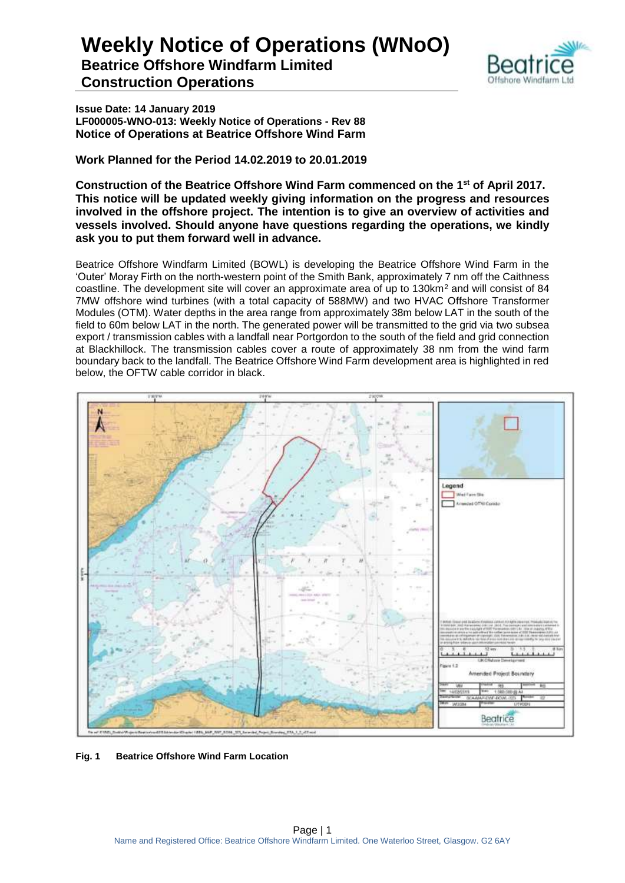

**Issue Date: 14 January 2019 LF000005-WNO-013: Weekly Notice of Operations - Rev 88 Notice of Operations at Beatrice Offshore Wind Farm**

**Work Planned for the Period 14.02.2019 to 20.01.2019**

**Construction of the Beatrice Offshore Wind Farm commenced on the 1 st of April 2017. This notice will be updated weekly giving information on the progress and resources involved in the offshore project. The intention is to give an overview of activities and vessels involved. Should anyone have questions regarding the operations, we kindly ask you to put them forward well in advance.** 

Beatrice Offshore Windfarm Limited (BOWL) is developing the Beatrice Offshore Wind Farm in the 'Outer' Moray Firth on the north-western point of the Smith Bank, approximately 7 nm off the Caithness coastline. The development site will cover an approximate area of up to 130km<sup>2</sup> and will consist of 84 7MW offshore wind turbines (with a total capacity of 588MW) and two HVAC Offshore Transformer Modules (OTM). Water depths in the area range from approximately 38m below LAT in the south of the field to 60m below LAT in the north. The generated power will be transmitted to the grid via two subsea export / transmission cables with a landfall near Portgordon to the south of the field and grid connection at Blackhillock. The transmission cables cover a route of approximately 38 nm from the wind farm boundary back to the landfall. The Beatrice Offshore Wind Farm development area is highlighted in red below, the OFTW cable corridor in black.



**Fig. 1 Beatrice Offshore Wind Farm Location**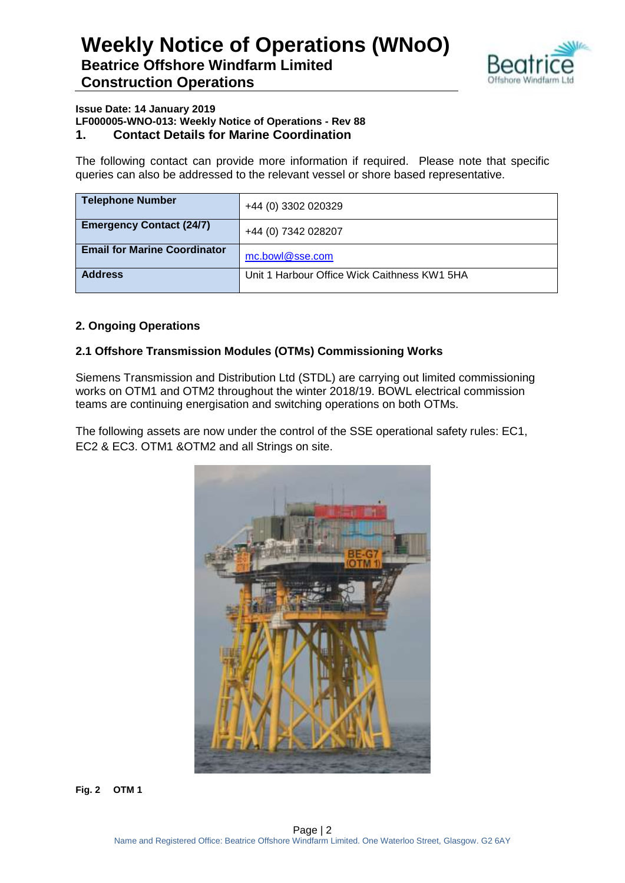

#### **Issue Date: 14 January 2019 LF000005-WNO-013: Weekly Notice of Operations - Rev 88 1. Contact Details for Marine Coordination**

The following contact can provide more information if required. Please note that specific queries can also be addressed to the relevant vessel or shore based representative.

| <b>Telephone Number</b>             | +44 (0) 3302 020329                          |
|-------------------------------------|----------------------------------------------|
| <b>Emergency Contact (24/7)</b>     | +44 (0) 7342 028207                          |
| <b>Email for Marine Coordinator</b> | mc.bowl@sse.com                              |
| <b>Address</b>                      | Unit 1 Harbour Office Wick Caithness KW1 5HA |

### **2. Ongoing Operations**

### **2.1 Offshore Transmission Modules (OTMs) Commissioning Works**

Siemens Transmission and Distribution Ltd (STDL) are carrying out limited commissioning works on OTM1 and OTM2 throughout the winter 2018/19. BOWL electrical commission teams are continuing energisation and switching operations on both OTMs.

The following assets are now under the control of the SSE operational safety rules: EC1, EC2 & EC3. OTM1 &OTM2 and all Strings on site.



**Fig. 2 OTM 1**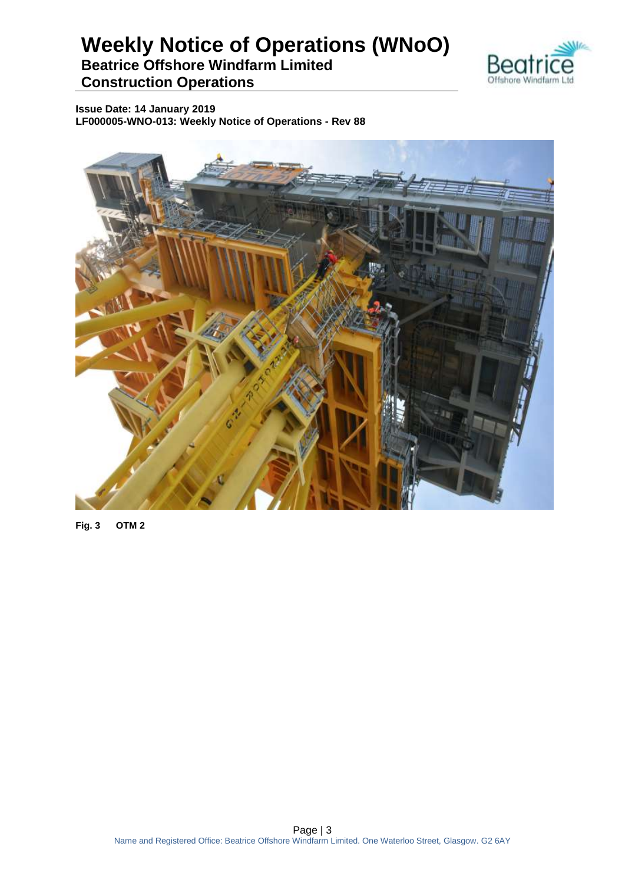

**Issue Date: 14 January 2019 LF000005-WNO-013: Weekly Notice of Operations - Rev 88**



**Fig. 3 OTM 2**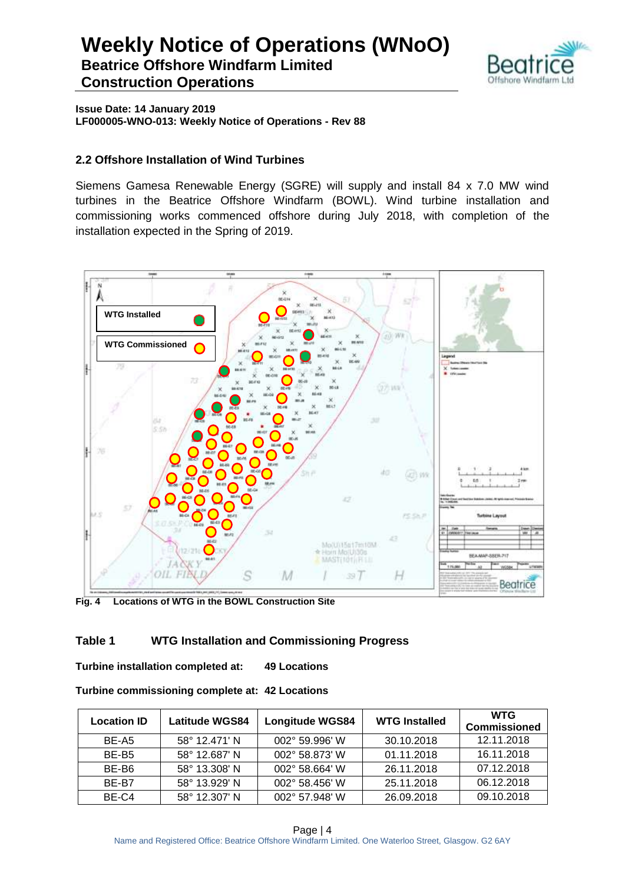

**Issue Date: 14 January 2019 LF000005-WNO-013: Weekly Notice of Operations - Rev 88**

#### **2.2 Offshore Installation of Wind Turbines**

Siemens Gamesa Renewable Energy (SGRE) will supply and install 84 x 7.0 MW wind turbines in the Beatrice Offshore Windfarm (BOWL). Wind turbine installation and commissioning works commenced offshore during July 2018, with completion of the installation expected in the Spring of 2019.



**Fig. 4 Locations of WTG in the BOWL Construction Site**

#### **Table 1 WTG Installation and Commissioning Progress**

**Turbine installation completed at: 49 Locations**

| Turbine commissioning complete at: 42 Locations |  |  |
|-------------------------------------------------|--|--|
|-------------------------------------------------|--|--|

| <b>Location ID</b> | <b>Latitude WGS84</b> | <b>Longitude WGS84</b><br><b>WTG Installed</b> |            | <b>WTG</b><br><b>Commissioned</b> |
|--------------------|-----------------------|------------------------------------------------|------------|-----------------------------------|
| BE-A5              | 58° 12.471' N         | 002° 59.996' W                                 | 30.10.2018 | 12.11.2018                        |
| BE-B <sub>5</sub>  | 58° 12.687' N         | 002° 58.873' W                                 | 01.11.2018 | 16.11.2018                        |
| BE-B6              | 58° 13.308' N         | 002° 58.664' W                                 | 26.11.2018 | 07.12.2018                        |
| BE-B7              | 58° 13.929' N         | 002° 58.456' W                                 | 25.11.2018 | 06.12.2018                        |
| BE-C4              | 58° 12.307' N         | 002° 57.948' W                                 | 26.09.2018 | 09.10.2018                        |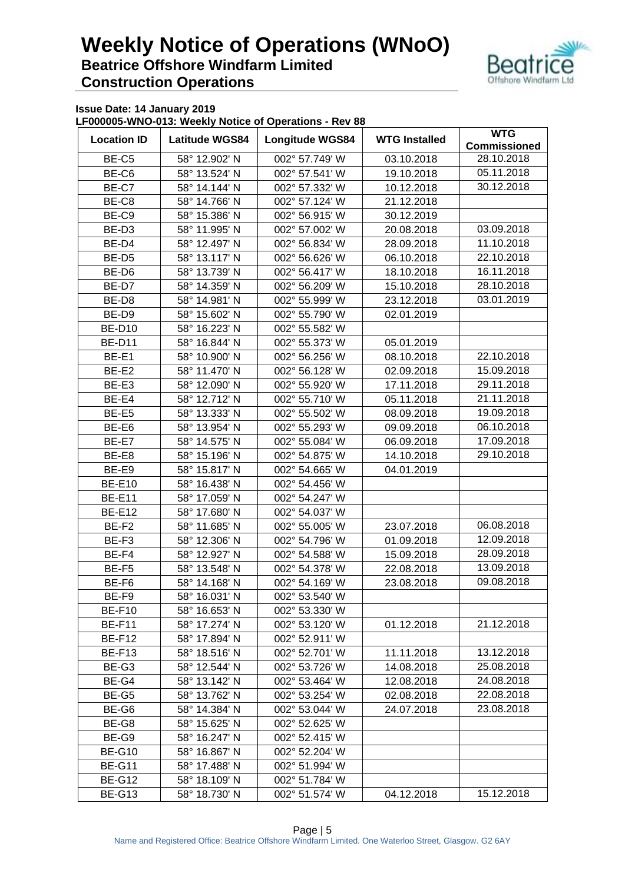

**Issue Date: 14 January 2019**

**LF000005-WNO-013: Weekly Notice of Operations - Rev 88**

| <b>Location ID</b> | <b>Latitude WGS84</b> | <b>Longitude WGS84</b>           | <b>WTG Installed</b>         | <b>WTG</b><br><b>Commissioned</b> |
|--------------------|-----------------------|----------------------------------|------------------------------|-----------------------------------|
| BE-C5              | 58° 12.902' N         |                                  | 002° 57.749' W<br>03.10.2018 |                                   |
| BE-C6              | 58° 13.524' N         | 002° 57.541' W                   | 19.10.2018                   |                                   |
| BE-C7              | 58° 14.144' N         | 002° 57.332' W                   | 10.12.2018                   | 05.11.2018<br>30.12.2018          |
| BE-C8              | 58° 14.766' N         | 002° 57.124' W                   | 21.12.2018                   |                                   |
| BE-C9              | 58° 15.386' N         | 002° 56.915' W                   | 30.12.2019                   |                                   |
| BE-D3              | 58° 11.995' N         | 002° 57.002' W                   | 20.08.2018                   | 03.09.2018                        |
|                    |                       |                                  |                              | 11.10.2018                        |
| BE-D4              | 58° 12.497' N         | 002° 56.834' W                   | 28.09.2018                   |                                   |
| BE-D5              | 58° 13.117' N         | 002° 56.626' W                   | 06.10.2018                   | 22.10.2018                        |
| BE-D6              | 58° 13.739' N         | 002° 56.417' W                   | 18.10.2018                   | 16.11.2018                        |
| BE-D7              | 58° 14.359' N         | 002° 56.209' W                   | 15.10.2018                   | 28.10.2018                        |
| BE-D8              | 58° 14.981' N         | 002° 55.999' W                   | 23.12.2018                   | 03.01.2019                        |
| BE-D9              | 58° 15.602' N         | 002° 55.790' W                   | 02.01.2019                   |                                   |
| <b>BE-D10</b>      | 58° 16.223' N         | 002° 55.582' W                   |                              |                                   |
| <b>BE-D11</b>      | 58° 16.844' N         | 002° 55.373' W                   | 05.01.2019                   |                                   |
| BE-E1              | 58° 10.900' N         | 002° 56.256' W                   | 08.10.2018                   | 22.10.2018                        |
| BE-E2              | 58° 11.470' N         | 002° 56.128' W                   | 02.09.2018                   | 15.09.2018                        |
| BE-E3              | 58° 12.090' N         | 002° 55.920' W                   | 17.11.2018                   | 29.11.2018                        |
| BE-E4              | 58° 12.712' N         | 002° 55.710' W                   | 05.11.2018                   | 21.11.2018                        |
| BE-E5              | 58° 13.333' N         | 002° 55.502' W                   | 08.09.2018                   | 19.09.2018                        |
| BE-E6              | 58° 13.954' N         | 002° 55.293' W                   | 09.09.2018                   | 06.10.2018                        |
| BE-E7              | 58° 14.575' N         | 002° 55.084' W                   | 06.09.2018                   | 17.09.2018                        |
| BE-E8              | 58° 15.196' N         | 002° 54.875' W                   | 14.10.2018                   | 29.10.2018                        |
| BE-E9              | 58° 15.817' N         | 002° 54.665' W                   | 04.01.2019                   |                                   |
| <b>BE-E10</b>      | 58° 16.438' N         | 002° 54.456' W                   |                              |                                   |
| <b>BE-E11</b>      | 58° 17.059' N         | 002° 54.247' W                   |                              |                                   |
| <b>BE-E12</b>      | 58° 17.680' N         | 002° 54.037' W                   |                              |                                   |
| BE-F2              | 58° 11.685' N         | 002° 55.005' W                   | 23.07.2018                   | 06.08.2018                        |
| BE-F3              | 58° 12.306' N         | 002° 54.796' W                   | 01.09.2018                   | 12.09.2018                        |
| BE-F4              | 58° 12.927' N         | 002° 54.588' W                   | 15.09.2018                   | 28.09.2018                        |
| BE-F5              | 58° 13.548' N         | 002° 54.378' W                   | 22.08.2018                   | 13.09.2018                        |
| BE-F6              | 58° 14.168' N         | 002° 54.169' W                   | 23.08.2018                   | 09.08.2018                        |
| BE-F9              | 58° 16.031' N         | 002° 53.540' W                   |                              |                                   |
| BE-F10             | 58° 16.653' N         | 002° 53.330' W                   |                              |                                   |
| <b>BE-F11</b>      | 58° 17.274' N         | 002° 53.120' W                   | 01.12.2018                   | 21.12.2018                        |
| <b>BE-F12</b>      | 58° 17.894' N         | 002° 52.911' W                   |                              |                                   |
| <b>BE-F13</b>      | 58° 18.516' N         | 002° 52.701' W                   | 11.11.2018                   | 13.12.2018                        |
| BE-G3              | 58° 12.544' N         | 002° 53.726' W                   | 14.08.2018                   | 25.08.2018                        |
| BE-G4              | 58° 13.142' N         | 002° 53.464' W                   | 12.08.2018                   | 24.08.2018                        |
| BE-G5              | 58° 13.762' N         |                                  |                              | 22.08.2018                        |
| BE-G6              | 58° 14.384' N         | 002° 53.254' W<br>002° 53.044' W | 02.08.2018<br>24.07.2018     | 23.08.2018                        |
|                    |                       |                                  |                              |                                   |
| BE-G8              | 58° 15.625' N         | 002° 52.625' W                   |                              |                                   |
| BE-G9              | 58° 16.247' N         | 002° 52.415' W                   |                              |                                   |
| <b>BE-G10</b>      | 58° 16.867' N         | 002° 52.204' W                   |                              |                                   |
| <b>BE-G11</b>      | 58° 17.488' N         | 002° 51.994' W                   |                              |                                   |
| <b>BE-G12</b>      | 58° 18.109' N         | 002° 51.784' W                   |                              |                                   |
| <b>BE-G13</b>      | 58° 18.730' N         | 002° 51.574' W                   | 04.12.2018                   | 15.12.2018                        |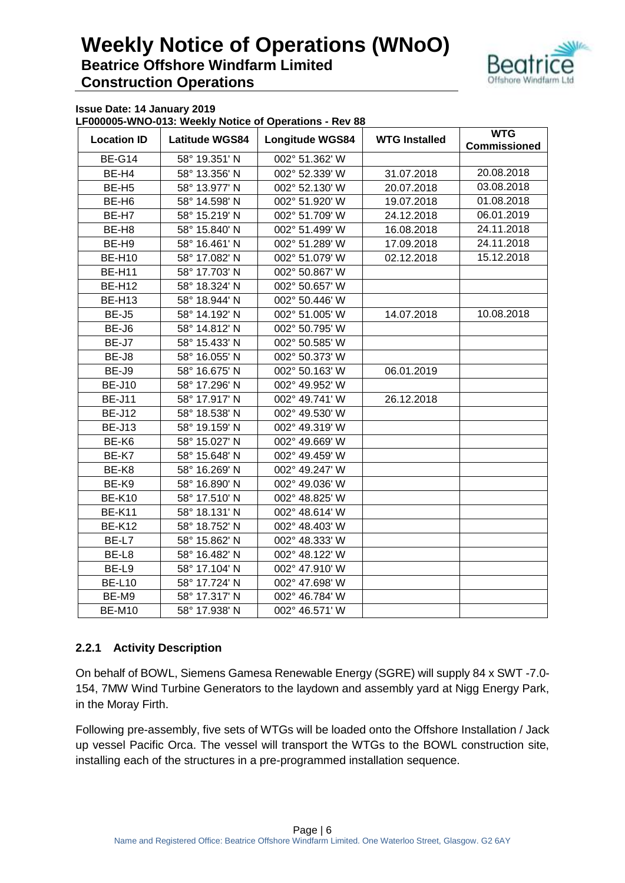

**Issue Date: 14 January 2019**

**LF000005-WNO-013: Weekly Notice of Operations - Rev 88**

| <b>Location ID</b> | <b>Latitude WGS84</b>          | <b>Longitude WGS84</b> | <b>WTG Installed</b> | <b>WTG</b>          |
|--------------------|--------------------------------|------------------------|----------------------|---------------------|
|                    |                                | 002° 51.362' W         |                      | <b>Commissioned</b> |
|                    | <b>BE-G14</b><br>58° 19.351' N |                        |                      | 20.08.2018          |
| BE-H4              | 58° 13.356' N                  | 002° 52.339' W         | 31.07.2018           |                     |
| BE-H <sub>5</sub>  | 58° 13.977' N                  | 002° 52.130' W         | 20.07.2018           | 03.08.2018          |
| BE-H <sub>6</sub>  | 58° 14.598' N                  | 002° 51.920' W         | 19.07.2018           | 01.08.2018          |
| BE-H7              | 58° 15.219' N                  | 002° 51.709' W         | 24.12.2018           | 06.01.2019          |
| BE-H <sub>8</sub>  | 58° 15.840' N                  | 002° 51.499' W         | 16.08.2018           | 24.11.2018          |
| BE-H9              | 58° 16.461' N                  | 002° 51.289' W         | 17.09.2018           | 24.11.2018          |
| <b>BE-H10</b>      | 58° 17.082' N                  | 002° 51.079' W         | 02.12.2018           | 15.12.2018          |
| <b>BE-H11</b>      | 58° 17.703' N                  | 002° 50.867' W         |                      |                     |
| <b>BE-H12</b>      | 58° 18.324' N                  | 002° 50.657' W         |                      |                     |
| <b>BE-H13</b>      | 58° 18.944' N                  | 002° 50.446' W         |                      |                     |
| BE-J5              | 58° 14.192' N                  | 002° 51.005' W         | 14.07.2018           | 10.08.2018          |
| BE-J6              | 58° 14.812' N                  | 002° 50.795' W         |                      |                     |
| BE-J7              | 58° 15.433' N                  | 002° 50.585' W         |                      |                     |
| BE-J8              | 58° 16.055' N                  | 002° 50.373' W         |                      |                     |
| BE-J9              | 58° 16.675' N                  | 002° 50.163' W         | 06.01.2019           |                     |
| <b>BE-J10</b>      | 58° 17.296' N                  | 002° 49.952' W         |                      |                     |
| <b>BE-J11</b>      | 58° 17.917' N                  | 002° 49.741' W         | 26.12.2018           |                     |
| <b>BE-J12</b>      | 58° 18.538' N                  | 002° 49.530' W         |                      |                     |
| <b>BE-J13</b>      | 58° 19.159' N                  | 002° 49.319' W         |                      |                     |
| BE-K6              | 58° 15.027' N                  | 002° 49.669' W         |                      |                     |
| BE-K7              | 58° 15.648' N                  | 002° 49.459' W         |                      |                     |
| BE-K8              | 58° 16.269' N                  | 002° 49.247' W         |                      |                     |
| BE-K9              | 58° 16.890' N                  | 002° 49.036' W         |                      |                     |
| <b>BE-K10</b>      | 58° 17.510' N                  | 002° 48.825' W         |                      |                     |
| <b>BE-K11</b>      | 58° 18.131' N                  | 002° 48.614' W         |                      |                     |
| <b>BE-K12</b>      | 58° 18.752' N                  | 002° 48.403' W         |                      |                     |
| BE-L7              | 58° 15.862' N                  | 002° 48.333' W         |                      |                     |
| BE-L8              | 58° 16.482' N                  | 002° 48.122' W         |                      |                     |
| BE-L9              | 58° 17.104' N                  | 002° 47.910' W         |                      |                     |
| <b>BE-L10</b>      | 58° 17.724' N                  | 002° 47.698' W         |                      |                     |
| BE-M9              | 58° 17.317' N                  | 002° 46.784' W         |                      |                     |
| <b>BE-M10</b>      | 58° 17.938' N                  | 002° 46.571' W         |                      |                     |

#### **2.2.1 Activity Description**

On behalf of BOWL, Siemens Gamesa Renewable Energy (SGRE) will supply 84 x SWT -7.0- 154, 7MW Wind Turbine Generators to the laydown and assembly yard at Nigg Energy Park, in the Moray Firth.

Following pre-assembly, five sets of WTGs will be loaded onto the Offshore Installation / Jack up vessel Pacific Orca. The vessel will transport the WTGs to the BOWL construction site, installing each of the structures in a pre-programmed installation sequence.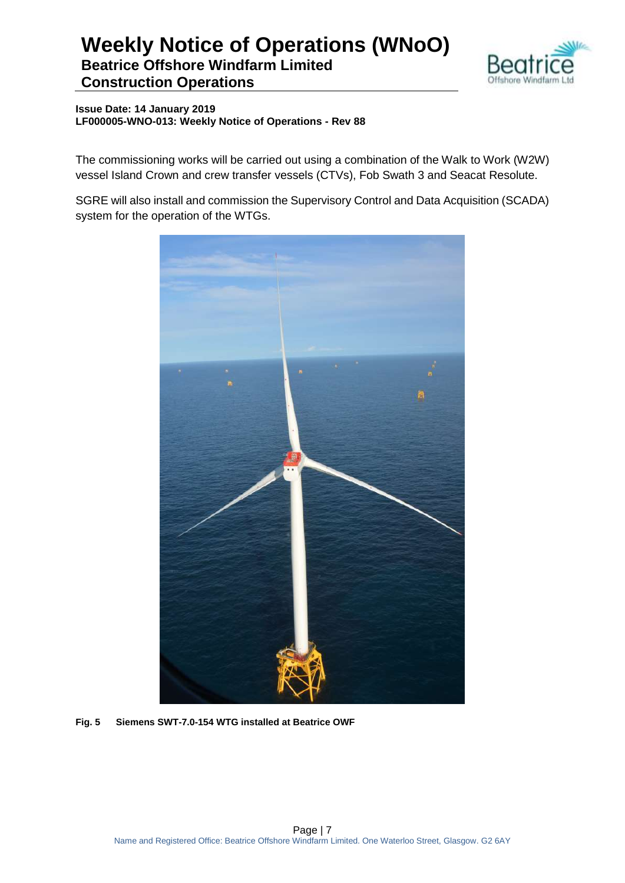

**Issue Date: 14 January 2019 LF000005-WNO-013: Weekly Notice of Operations - Rev 88**

The commissioning works will be carried out using a combination of the Walk to Work (W2W) vessel Island Crown and crew transfer vessels (CTVs), Fob Swath 3 and Seacat Resolute.

SGRE will also install and commission the Supervisory Control and Data Acquisition (SCADA) system for the operation of the WTGs.



**Fig. 5 Siemens SWT-7.0-154 WTG installed at Beatrice OWF**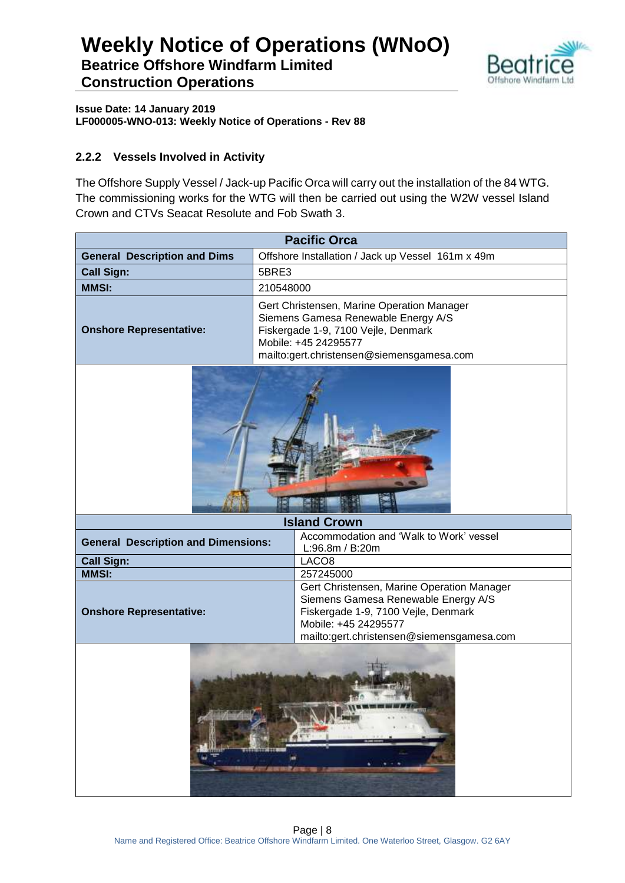

**Issue Date: 14 January 2019 LF000005-WNO-013: Weekly Notice of Operations - Rev 88**

### **2.2.2 Vessels Involved in Activity**

The Offshore Supply Vessel / Jack-up Pacific Orca will carry out the installation of the 84 WTG. The commissioning works for the WTG will then be carried out using the W2W vessel Island Crown and CTVs Seacat Resolute and Fob Swath 3.

| <b>Pacific Orca</b>                                                                                                                                                                                                             |                                                                                                                                                                                               |  |  |  |  |
|---------------------------------------------------------------------------------------------------------------------------------------------------------------------------------------------------------------------------------|-----------------------------------------------------------------------------------------------------------------------------------------------------------------------------------------------|--|--|--|--|
| <b>General Description and Dims</b>                                                                                                                                                                                             | Offshore Installation / Jack up Vessel 161m x 49m                                                                                                                                             |  |  |  |  |
| <b>Call Sign:</b>                                                                                                                                                                                                               | 5BRE3                                                                                                                                                                                         |  |  |  |  |
| <b>MMSI:</b>                                                                                                                                                                                                                    | 210548000                                                                                                                                                                                     |  |  |  |  |
| <b>Onshore Representative:</b>                                                                                                                                                                                                  | Gert Christensen, Marine Operation Manager<br>Siemens Gamesa Renewable Energy A/S<br>Fiskergade 1-9, 7100 Vejle, Denmark<br>Mobile: +45 24295577<br>mailto:gert.christensen@siemensgamesa.com |  |  |  |  |
|                                                                                                                                                                                                                                 |                                                                                                                                                                                               |  |  |  |  |
|                                                                                                                                                                                                                                 | <b>Island Crown</b>                                                                                                                                                                           |  |  |  |  |
| Accommodation and 'Walk to Work' vessel<br><b>General Description and Dimensions:</b><br>L:96.8m / B:20m                                                                                                                        |                                                                                                                                                                                               |  |  |  |  |
| <b>Call Sign:</b><br>LACO <sub>8</sub>                                                                                                                                                                                          |                                                                                                                                                                                               |  |  |  |  |
| <b>MMSI:</b>                                                                                                                                                                                                                    | 257245000                                                                                                                                                                                     |  |  |  |  |
| Gert Christensen, Marine Operation Manager<br>Siemens Gamesa Renewable Energy A/S<br><b>Onshore Representative:</b><br>Fiskergade 1-9, 7100 Vejle, Denmark<br>Mobile: +45 24295577<br>mailto:gert.christensen@siemensgamesa.com |                                                                                                                                                                                               |  |  |  |  |
|                                                                                                                                                                                                                                 | 海药<br>ь<br>建态电池                                                                                                                                                                               |  |  |  |  |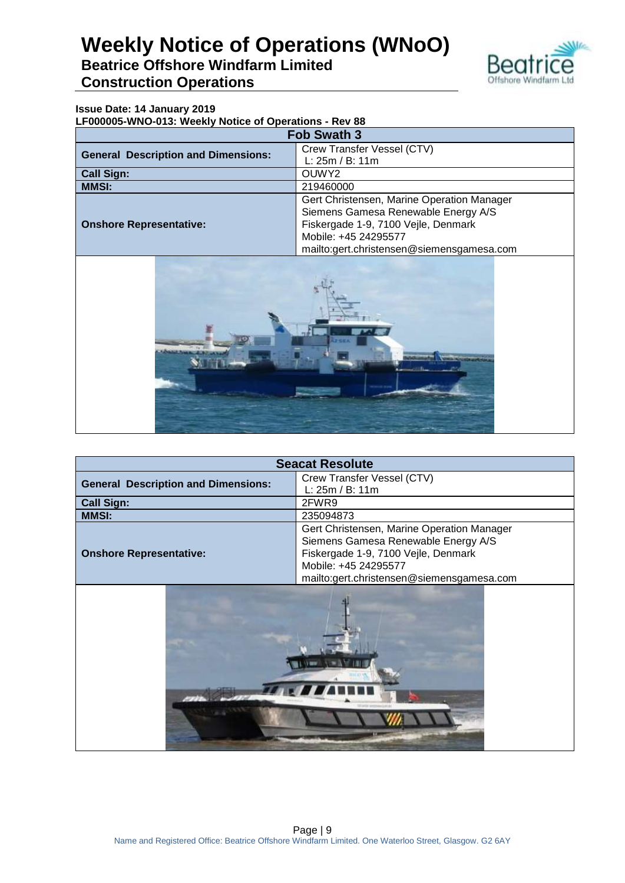

#### **Issue Date: 14 January 2019**

**LF000005-WNO-013: Weekly Notice of Operations - Rev 88**

| <b>Fob Swath 3</b>                         |                                            |  |  |
|--------------------------------------------|--------------------------------------------|--|--|
| <b>General Description and Dimensions:</b> | Crew Transfer Vessel (CTV)                 |  |  |
|                                            | L: 25m / B: 11m                            |  |  |
| <b>Call Sign:</b>                          | OUWY2                                      |  |  |
| <b>MMSI:</b><br>219460000                  |                                            |  |  |
|                                            | Gert Christensen, Marine Operation Manager |  |  |
|                                            | Siemens Gamesa Renewable Energy A/S        |  |  |
| <b>Onshore Representative:</b>             | Fiskergade 1-9, 7100 Vejle, Denmark        |  |  |
|                                            | Mobile: +45 24295577                       |  |  |
|                                            | mailto:gert.christensen@siemensgamesa.com  |  |  |



| <b>Seacat Resolute</b>                     |                                            |  |  |  |
|--------------------------------------------|--------------------------------------------|--|--|--|
| <b>General Description and Dimensions:</b> | Crew Transfer Vessel (CTV)                 |  |  |  |
|                                            | L: 25m / B: 11m                            |  |  |  |
| <b>Call Sign:</b>                          | 2FWR9                                      |  |  |  |
| <b>MMSI:</b>                               | 235094873                                  |  |  |  |
|                                            | Gert Christensen, Marine Operation Manager |  |  |  |
|                                            | Siemens Gamesa Renewable Energy A/S        |  |  |  |
| <b>Onshore Representative:</b>             | Fiskergade 1-9, 7100 Vejle, Denmark        |  |  |  |
|                                            | Mobile: +45 24295577                       |  |  |  |
|                                            |                                            |  |  |  |
| mailto:gert.christensen@siemensgamesa.com  |                                            |  |  |  |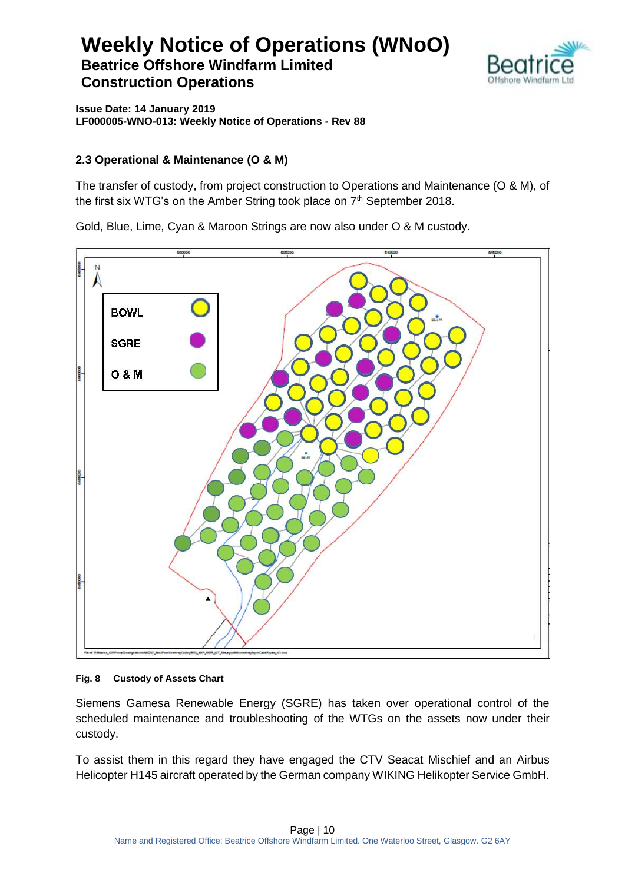

**Issue Date: 14 January 2019 LF000005-WNO-013: Weekly Notice of Operations - Rev 88**

### **2.3 Operational & Maintenance (O & M)**

The transfer of custody, from project construction to Operations and Maintenance (O & M), of the first six WTG's on the Amber String took place on 7<sup>th</sup> September 2018.

Gold, Blue, Lime, Cyan & Maroon Strings are now also under O & M custody.



#### **Fig. 8 Custody of Assets Chart**

Siemens Gamesa Renewable Energy (SGRE) has taken over operational control of the scheduled maintenance and troubleshooting of the WTGs on the assets now under their custody.

To assist them in this regard they have engaged the CTV Seacat Mischief and an Airbus Helicopter H145 aircraft operated by the German company WIKING Helikopter Service GmbH.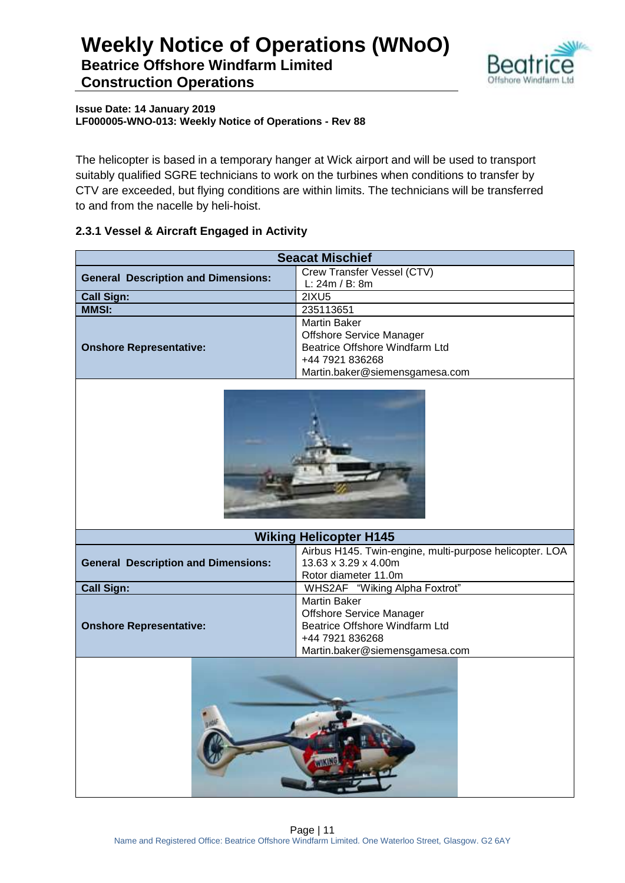

#### **Issue Date: 14 January 2019 LF000005-WNO-013: Weekly Notice of Operations - Rev 88**

The helicopter is based in a temporary hanger at Wick airport and will be used to transport suitably qualified SGRE technicians to work on the turbines when conditions to transfer by CTV are exceeded, but flying conditions are within limits. The technicians will be transferred to and from the nacelle by heli-hoist.

### **2.3.1 Vessel & Aircraft Engaged in Activity**

| <b>Seacat Mischief</b>                     |                                                         |  |  |  |  |  |
|--------------------------------------------|---------------------------------------------------------|--|--|--|--|--|
| <b>General Description and Dimensions:</b> | Crew Transfer Vessel (CTV)                              |  |  |  |  |  |
|                                            | L: 24m / B: 8m                                          |  |  |  |  |  |
| <b>Call Sign:</b>                          | 2IXU5                                                   |  |  |  |  |  |
| <b>MMSI:</b>                               | 235113651                                               |  |  |  |  |  |
|                                            | <b>Martin Baker</b>                                     |  |  |  |  |  |
|                                            | <b>Offshore Service Manager</b>                         |  |  |  |  |  |
| <b>Onshore Representative:</b>             | Beatrice Offshore Windfarm Ltd                          |  |  |  |  |  |
|                                            | +44 7921 836268                                         |  |  |  |  |  |
|                                            | Martin.baker@siemensgamesa.com                          |  |  |  |  |  |
|                                            |                                                         |  |  |  |  |  |
|                                            | <b>Wiking Helicopter H145</b>                           |  |  |  |  |  |
|                                            | Airbus H145. Twin-engine, multi-purpose helicopter. LOA |  |  |  |  |  |
| <b>General Description and Dimensions:</b> | 13.63 x 3.29 x 4.00m                                    |  |  |  |  |  |
|                                            | Rotor diameter 11.0m                                    |  |  |  |  |  |
| <b>Call Sign:</b>                          | WHS2AF "Wiking Alpha Foxtrot"                           |  |  |  |  |  |
|                                            | <b>Martin Baker</b>                                     |  |  |  |  |  |
|                                            | <b>Offshore Service Manager</b>                         |  |  |  |  |  |
| <b>Onshore Representative:</b>             | Beatrice Offshore Windfarm Ltd                          |  |  |  |  |  |
|                                            | +44 7921 836268                                         |  |  |  |  |  |
|                                            | Martin.baker@siemensgamesa.com                          |  |  |  |  |  |
|                                            |                                                         |  |  |  |  |  |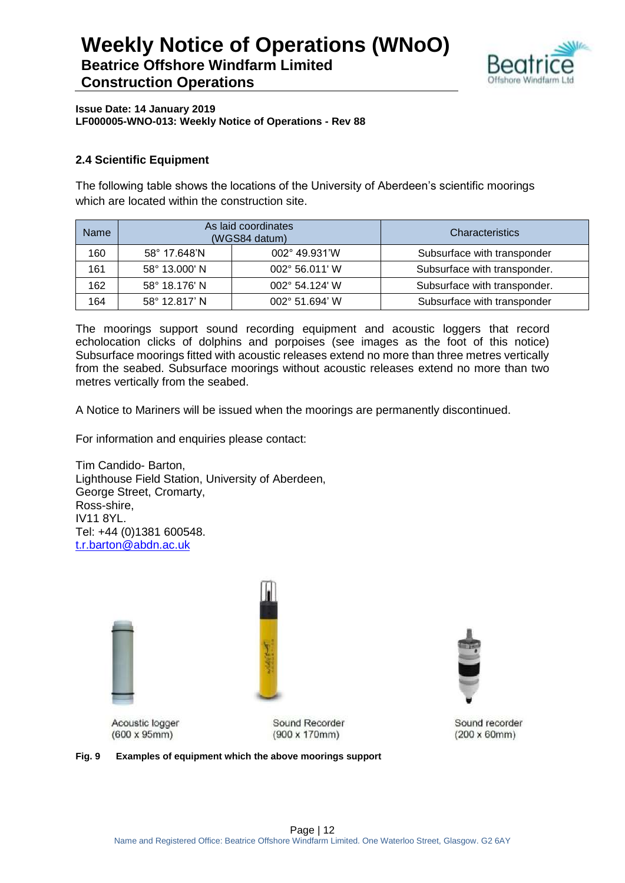

**Issue Date: 14 January 2019 LF000005-WNO-013: Weekly Notice of Operations - Rev 88**

### **2.4 Scientific Equipment**

The following table shows the locations of the University of Aberdeen's scientific moorings which are located within the construction site.

| <b>Name</b> | As laid coordinates<br>(WGS84 datum) |                | <b>Characteristics</b>       |
|-------------|--------------------------------------|----------------|------------------------------|
| 160         | 002° 49.931'W<br>58° 17.648'N        |                | Subsurface with transponder  |
| 161         | 58° 13.000' N<br>002° 56.011' W      |                | Subsurface with transponder. |
| 162         | 58° 18.176' N                        | 002° 54.124' W | Subsurface with transponder. |
| 164         | 58° 12.817' N                        | 002° 51.694' W | Subsurface with transponder  |

The moorings support sound recording equipment and acoustic loggers that record echolocation clicks of dolphins and porpoises (see images as the foot of this notice) Subsurface moorings fitted with acoustic releases extend no more than three metres vertically from the seabed. Subsurface moorings without acoustic releases extend no more than two metres vertically from the seabed.

A Notice to Mariners will be issued when the moorings are permanently discontinued.

For information and enquiries please contact:

Tim Candido- Barton, Lighthouse Field Station, University of Aberdeen, George Street, Cromarty, Ross-shire, IV11 8YL. Tel: +44 (0)1381 600548. [t.r.barton@abdn.ac.uk](mailto:t.r.barton@abdn.ac.uk)





Acoustic logger  $(600 \times 95 \text{mm})$ 

Sound Recorder  $(900 \times 170$ mm)



Sound recorder  $(200 \times 60$ mm $)$ 

**Fig. 9 Examples of equipment which the above moorings support**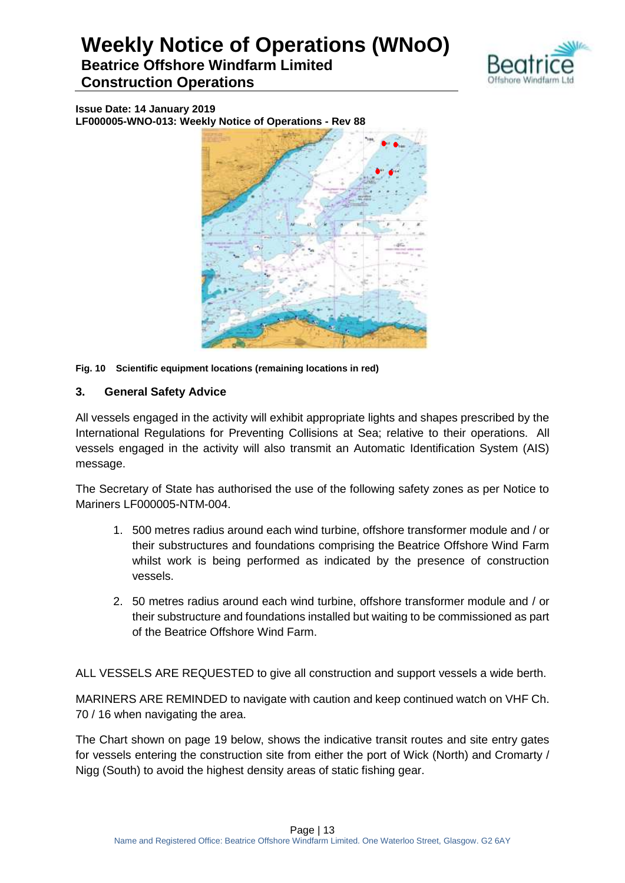

**Issue Date: 14 January 2019 LF000005-WNO-013: Weekly Notice of Operations - Rev 88**



**Fig. 10 Scientific equipment locations (remaining locations in red)**

### **3. General Safety Advice**

All vessels engaged in the activity will exhibit appropriate lights and shapes prescribed by the International Regulations for Preventing Collisions at Sea; relative to their operations. All vessels engaged in the activity will also transmit an Automatic Identification System (AIS) message.

The Secretary of State has authorised the use of the following safety zones as per Notice to Mariners LF000005-NTM-004.

- 1. 500 metres radius around each wind turbine, offshore transformer module and / or their substructures and foundations comprising the Beatrice Offshore Wind Farm whilst work is being performed as indicated by the presence of construction vessels.
- 2. 50 metres radius around each wind turbine, offshore transformer module and / or their substructure and foundations installed but waiting to be commissioned as part of the Beatrice Offshore Wind Farm.

ALL VESSELS ARE REQUESTED to give all construction and support vessels a wide berth.

MARINERS ARE REMINDED to navigate with caution and keep continued watch on VHF Ch. 70 / 16 when navigating the area.

The Chart shown on page 19 below, shows the indicative transit routes and site entry gates for vessels entering the construction site from either the port of Wick (North) and Cromarty / Nigg (South) to avoid the highest density areas of static fishing gear.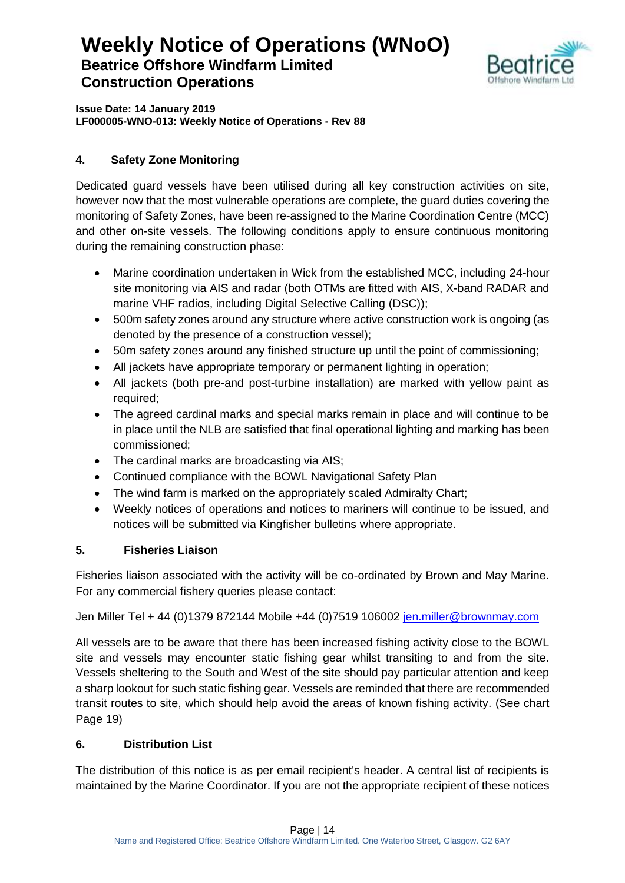

**Issue Date: 14 January 2019 LF000005-WNO-013: Weekly Notice of Operations - Rev 88**

### **4. Safety Zone Monitoring**

Dedicated guard vessels have been utilised during all key construction activities on site, however now that the most vulnerable operations are complete, the guard duties covering the monitoring of Safety Zones, have been re-assigned to the Marine Coordination Centre (MCC) and other on-site vessels. The following conditions apply to ensure continuous monitoring during the remaining construction phase:

- Marine coordination undertaken in Wick from the established MCC, including 24-hour site monitoring via AIS and radar (both OTMs are fitted with AIS, X-band RADAR and marine VHF radios, including Digital Selective Calling (DSC));
- 500m safety zones around any structure where active construction work is ongoing (as denoted by the presence of a construction vessel);
- 50m safety zones around any finished structure up until the point of commissioning;
- All jackets have appropriate temporary or permanent lighting in operation;
- All jackets (both pre-and post-turbine installation) are marked with yellow paint as required;
- The agreed cardinal marks and special marks remain in place and will continue to be in place until the NLB are satisfied that final operational lighting and marking has been commissioned;
- The cardinal marks are broadcasting via AIS;
- Continued compliance with the BOWL Navigational Safety Plan
- The wind farm is marked on the appropriately scaled Admiralty Chart;
- Weekly notices of operations and notices to mariners will continue to be issued, and notices will be submitted via Kingfisher bulletins where appropriate.

### **5. Fisheries Liaison**

Fisheries liaison associated with the activity will be co-ordinated by Brown and May Marine. For any commercial fishery queries please contact:

Jen Miller Tel + 44 (0)1379 872144 Mobile +44 (0)7519 106002 [jen.miller@brownmay.com](mailto:jen.miller@brownmay.com)

All vessels are to be aware that there has been increased fishing activity close to the BOWL site and vessels may encounter static fishing gear whilst transiting to and from the site. Vessels sheltering to the South and West of the site should pay particular attention and keep a sharp lookout for such static fishing gear. Vessels are reminded that there are recommended transit routes to site, which should help avoid the areas of known fishing activity. (See chart Page 19)

### **6. Distribution List**

The distribution of this notice is as per email recipient's header. A central list of recipients is maintained by the Marine Coordinator. If you are not the appropriate recipient of these notices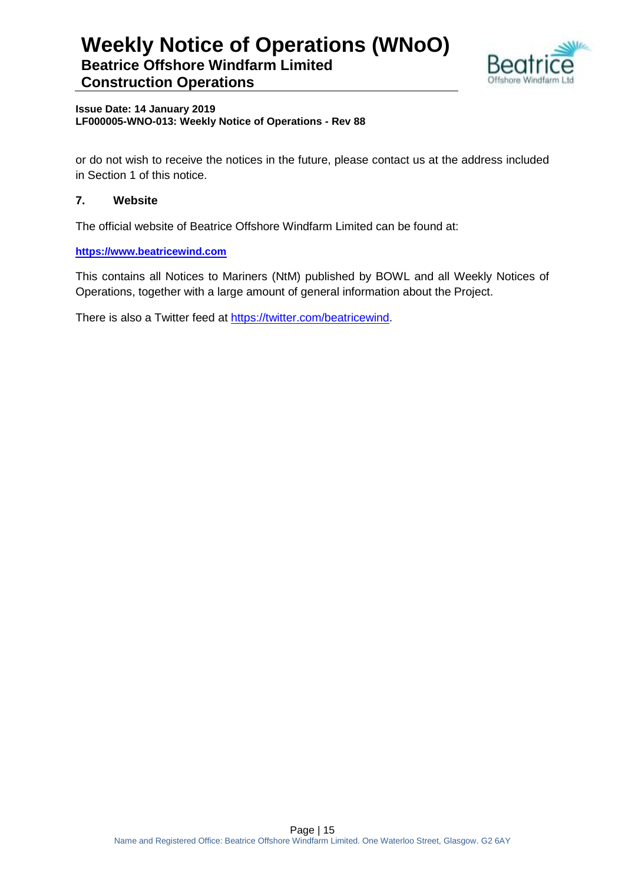

#### **Issue Date: 14 January 2019 LF000005-WNO-013: Weekly Notice of Operations - Rev 88**

or do not wish to receive the notices in the future, please contact us at the address included in Section 1 of this notice.

### **7. Website**

The official website of Beatrice Offshore Windfarm Limited can be found at:

**[https://www.beatricewind.com](https://www.beatricewind.com/)**

This contains all Notices to Mariners (NtM) published by BOWL and all Weekly Notices of Operations, together with a large amount of general information about the Project.

There is also a Twitter feed at [https://twitter.com/beatricewind.](https://twitter.com/beatricewind)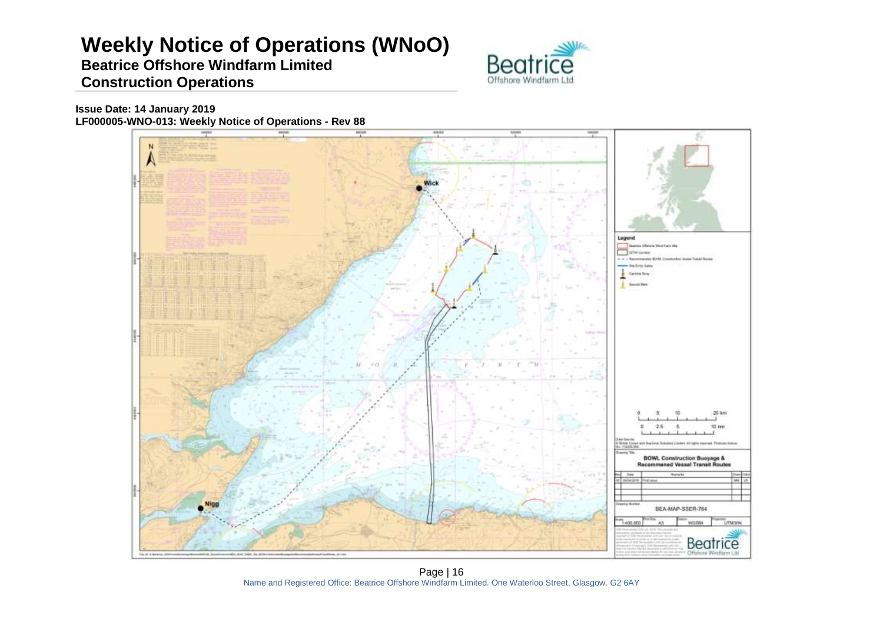# **Weekly Notice of Operations (WNoO)**

### **Beatrice Offshore Windfarm Limited Construction Operations**



**Issue Date: 14 January 2019 LF000005-WNO-013: Weekly Notice of Operations - Rev 88**



Page | 16 Name and Registered Office: Beatrice Offshore Windfarm Limited. One Waterloo Street, Glasgow. G2 6AY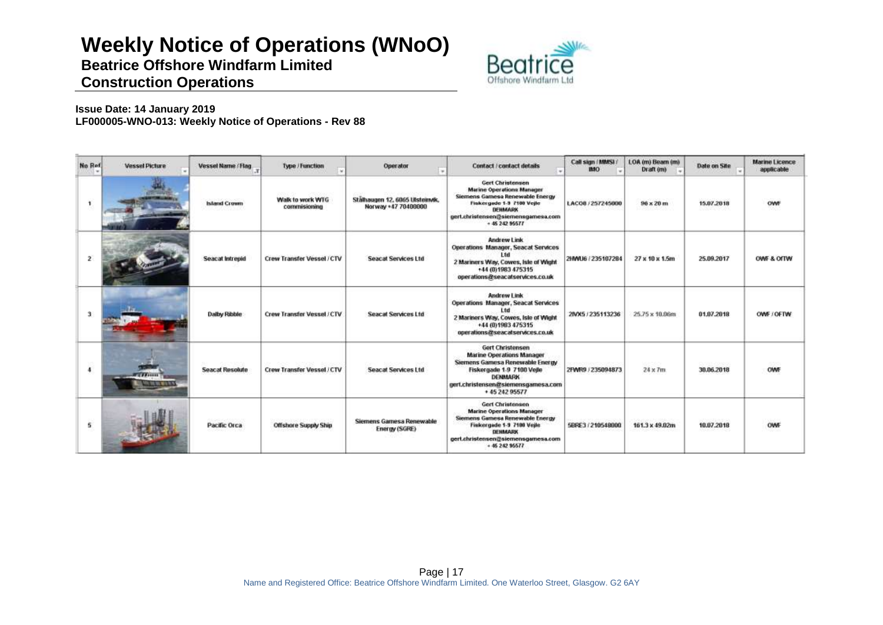# **Weekly Notice of Operations (WNoO)**

**Beatrice Offshore Windfarm Limited**



### **Construction Operations**

**Issue Date: 14 January 2019 LF000005-WNO-013: Weekly Notice of Operations - Rev 88**

| No Rof               | <b>Vessel Picture</b> | Vessel Name / Flag.    | Type / Function                  | Operator                                               | Contact / contact details                                                                                                                                                                                 | Call sign (MMSL)<br><b>IMO</b> | LOA (m) Beam (m)<br>Draft (m) | Date on Site                 | <b>Marine Licence</b><br>applicable |
|----------------------|-----------------------|------------------------|----------------------------------|--------------------------------------------------------|-----------------------------------------------------------------------------------------------------------------------------------------------------------------------------------------------------------|--------------------------------|-------------------------------|------------------------------|-------------------------------------|
|                      |                       | <b>Island Crown</b>    | Walk to work WTG<br>commisioning | Stälhaugen 12, 6065 Ulsteinvik,<br>Norway +47 70400000 | <b>Gert Christensen</b><br><b>Marine Operations Manager</b><br>Siemens Gamese Renewable Energy<br>Fiskergade 1-9 7100 Vejle<br>DENMARK<br>gert.christensen@siemensgamesa.com<br>$+ 4524295577$            | LACOS / 257245000              | $96 \times 20$ m              | 15.07.2018                   |                                     |
| $\mathbf{z}$         |                       | Seacat Intrepid        | Crew Transfer Vessel / CTV       | <b>Seacat Services Ltd</b>                             | Andrew Link<br>Operations Manager, Seacat Services<br>1 tri<br>2 Mariners Way, Cowes, Isle of Wight<br>+44 (0)1983 475315<br>operations@seacatservices.co.uk                                              | 2HWU6 / 235107284              | $27 \times 10 \times 1.5m$    | 25.09.2017                   | OWE & OITW                          |
| 3                    |                       | Dalby Ribble           | Crew Transfer Vessel / CTV       | <b>Seacat Services Ltd</b>                             | Andrew Link<br><b>Operations Manager, Seacat Services</b><br>l tri<br>2 Mariners Way, Cowes, Isle of Wight<br>+44 (0) 1983 475315<br>operations@seacatservices.co.uk                                      | 2IVX5 / 235113236              | 25.75 x 10.06m                | 01.07.2018                   | OWE / OFTW                          |
| $\ddot{\phantom{a}}$ | <b>TAILER</b>         | <b>Seacat Resolute</b> | Crew Transfer Vessel / CTV       | Seacat Services Ltd                                    | Gert Christensen<br><b>Marine Operations Manager</b><br>Siemens Gamesa Renewable Energy<br>Fiskergade 1-9 7100 Veile<br><b>DENMARK</b><br>gert.christensen@siemensgamesa.com<br>+ 45 242 95577            | 2FWR9 / 235094873              | medica<br>$24 \times 7m$      | teran serengan<br>30.06.2018 | OWF                                 |
| 5.                   |                       | Pacific Orca           | <b>Offshore Supply Ship</b>      | Siemens Gamesa Renewable<br>Energy (SGRE)              | <b>Gert Christensen</b><br><b>Marine Operations Manager</b><br>Siemens Gamesa Renewable Energy<br>Fiskergade 1-9 7100 Vejle<br><b>DENMARK</b><br>gert.christensen@siemensgamesa.com<br>$+ 46, 242, 95577$ | 5BRE3 / 210548000              | 161.3 x 49.02m                | 10.07.2018                   | OWF                                 |